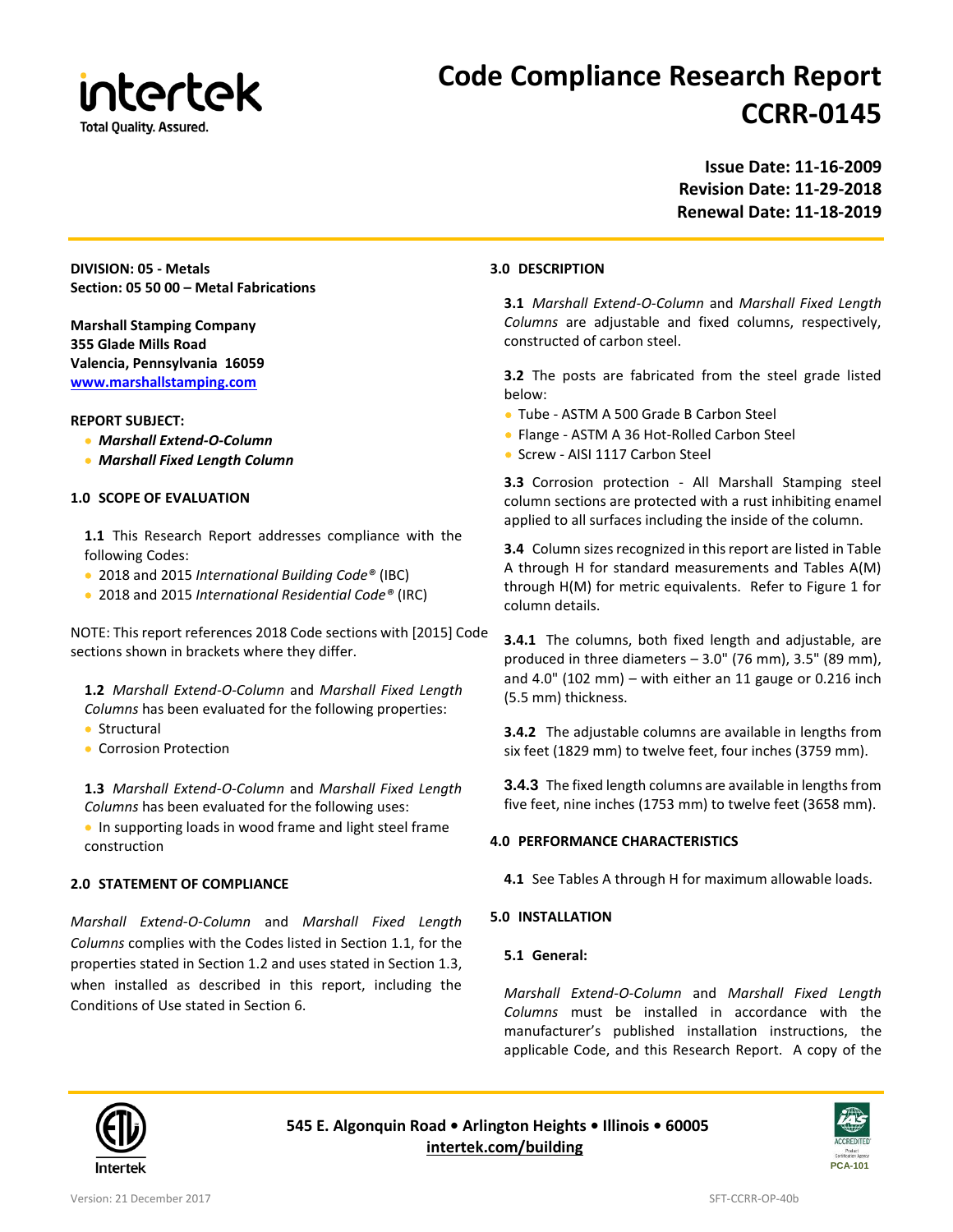

### **Code Compliance Research Report CCRR-0145**

**Issue Date: 11-16-2009 Revision Date: 11-29-2018 Renewal Date: 11-18-2019**

**DIVISION: 05 - Metals Section: 05 50 00 – Metal Fabrications**

**Marshall Stamping Company 355 Glade Mills Road Valencia, Pennsylvania 16059 [www.marshallstamping.com](http://www.marshallstamping.com/)**

#### **REPORT SUBJECT:**

- *Marshall Extend-O-Column*
- *Marshall Fixed Length Column*

#### **1.0 SCOPE OF EVALUATION**

- **1.1** This Research Report addresses compliance with the following Codes:
- 2018 and 2015 *International Building Code®* (IBC)
- 2018 and 2015 *International Residential Code®* (IRC)

NOTE: This report references 2018 Code sections with [2015] Code sections shown in brackets where they differ.

**1.2** *Marshall Extend-O-Column* and *Marshall Fixed Length Columns* has been evaluated for the following properties:

- Structural
- Corrosion Protection

**1.3** *Marshall Extend-O-Column* and *Marshall Fixed Length Columns* has been evaluated for the following uses:

• In supporting loads in wood frame and light steel frame construction

#### **2.0 STATEMENT OF COMPLIANCE**

*Marshall Extend-O-Column* and *Marshall Fixed Length Columns* complies with the Codes listed in Section 1.1, for the properties stated in Section 1.2 and uses stated in Section 1.3, when installed as described in this report, including the Conditions of Use stated in Section 6.

#### **3.0 DESCRIPTION**

**3.1** *Marshall Extend-O-Column* and *Marshall Fixed Length Columns* are adjustable and fixed columns, respectively, constructed of carbon steel.

**3.2** The posts are fabricated from the steel grade listed below:

- Tube ASTM A 500 Grade B Carbon Steel
- Flange ASTM A 36 Hot-Rolled Carbon Steel
- Screw AISI 1117 Carbon Steel

**3.3** Corrosion protection - All Marshall Stamping steel column sections are protected with a rust inhibiting enamel applied to all surfaces including the inside of the column.

**3.4** Column sizes recognized in this report are listed in Table A through H for standard measurements and Tables A(M) through H(M) for metric equivalents. Refer to Figure 1 for column details.

**3.4.1** The columns, both fixed length and adjustable, are produced in three diameters – 3.0" (76 mm), 3.5" (89 mm), and 4.0" (102 mm) – with either an 11 gauge or 0.216 inch (5.5 mm) thickness.

**3.4.2** The adjustable columns are available in lengths from six feet (1829 mm) to twelve feet, four inches (3759 mm).

**3.4.3** The fixed length columns are available in lengths from five feet, nine inches (1753 mm) to twelve feet (3658 mm).

#### **4.0 PERFORMANCE CHARACTERISTICS**

**4.1** See Tables A through H for maximum allowable loads.

#### **5.0 INSTALLATION**

#### **5.1 General:**

*Marshall Extend-O-Column* and *Marshall Fixed Length Columns* must be installed in accordance with the manufacturer's published installation instructions, the applicable Code, and this Research Report. A copy of the



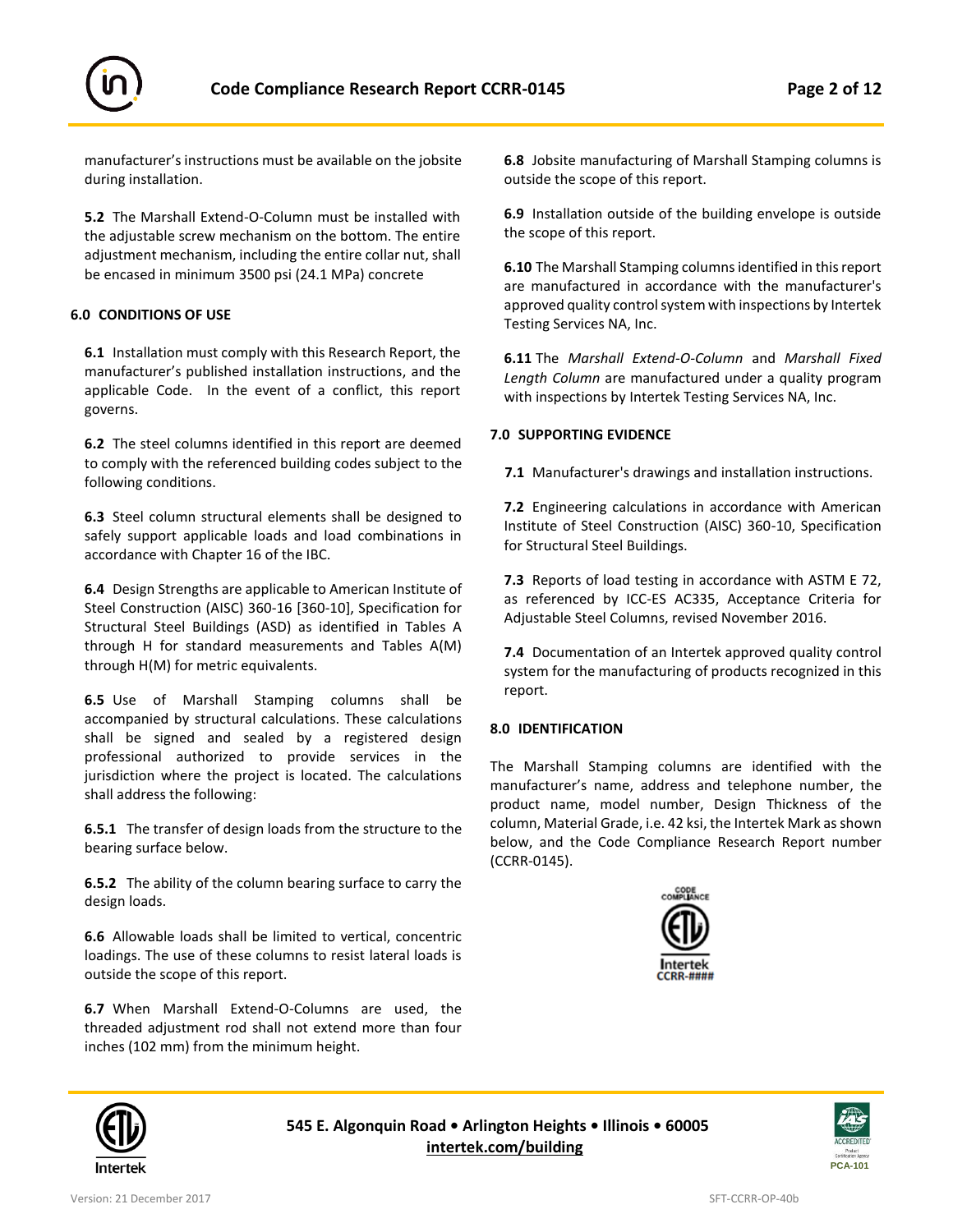

manufacturer's instructions must be available on the jobsite during installation.

**5.2** The Marshall Extend-O-Column must be installed with the adjustable screw mechanism on the bottom. The entire adjustment mechanism, including the entire collar nut, shall be encased in minimum 3500 psi (24.1 MPa) concrete

#### **6.0 CONDITIONS OF USE**

**6.1** Installation must comply with this Research Report, the manufacturer's published installation instructions, and the applicable Code. In the event of a conflict, this report governs.

**6.2** The steel columns identified in this report are deemed to comply with the referenced building codes subject to the following conditions.

**6.3** Steel column structural elements shall be designed to safely support applicable loads and load combinations in accordance with Chapter 16 of the IBC.

**6.4** Design Strengths are applicable to American Institute of Steel Construction (AISC) 360-16 [360-10], Specification for Structural Steel Buildings (ASD) as identified in Tables A through H for standard measurements and Tables A(M) through H(M) for metric equivalents.

**6.5** Use of Marshall Stamping columns shall be accompanied by structural calculations. These calculations shall be signed and sealed by a registered design professional authorized to provide services in the jurisdiction where the project is located. The calculations shall address the following:

**6.5.1** The transfer of design loads from the structure to the bearing surface below.

**6.5.2** The ability of the column bearing surface to carry the design loads.

**6.6** Allowable loads shall be limited to vertical, concentric loadings. The use of these columns to resist lateral loads is outside the scope of this report.

**6.7** When Marshall Extend-O-Columns are used, the threaded adjustment rod shall not extend more than four inches (102 mm) from the minimum height.

**6.8** Jobsite manufacturing of Marshall Stamping columns is outside the scope of this report.

**6.9** Installation outside of the building envelope is outside the scope of this report.

**6.10** The Marshall Stamping columns identified in this report are manufactured in accordance with the manufacturer's approved quality control system with inspections by Intertek Testing Services NA, Inc.

**6.11** The *Marshall Extend-O-Column* and *Marshall Fixed Length Column* are manufactured under a quality program with inspections by Intertek Testing Services NA, Inc.

#### **7.0 SUPPORTING EVIDENCE**

**7.1** Manufacturer's drawings and installation instructions.

**7.2** Engineering calculations in accordance with American Institute of Steel Construction (AISC) 360-10, Specification for Structural Steel Buildings.

**7.3** Reports of load testing in accordance with ASTM E 72, as referenced by ICC-ES AC335, Acceptance Criteria for Adjustable Steel Columns, revised November 2016.

**7.4** Documentation of an Intertek approved quality control system for the manufacturing of products recognized in this report.

#### **8.0 IDENTIFICATION**

The Marshall Stamping columns are identified with the manufacturer's name, address and telephone number, the product name, model number, Design Thickness of the column, Material Grade, i.e. 42 ksi, the Intertek Mark as shown below, and the Code Compliance Research Report number (CCRR-0145).





**545 E. Algonquin Road • Arlington Heights • Illinois • 60005 [intertek.com/building](http://www.intertek.com/building/)**

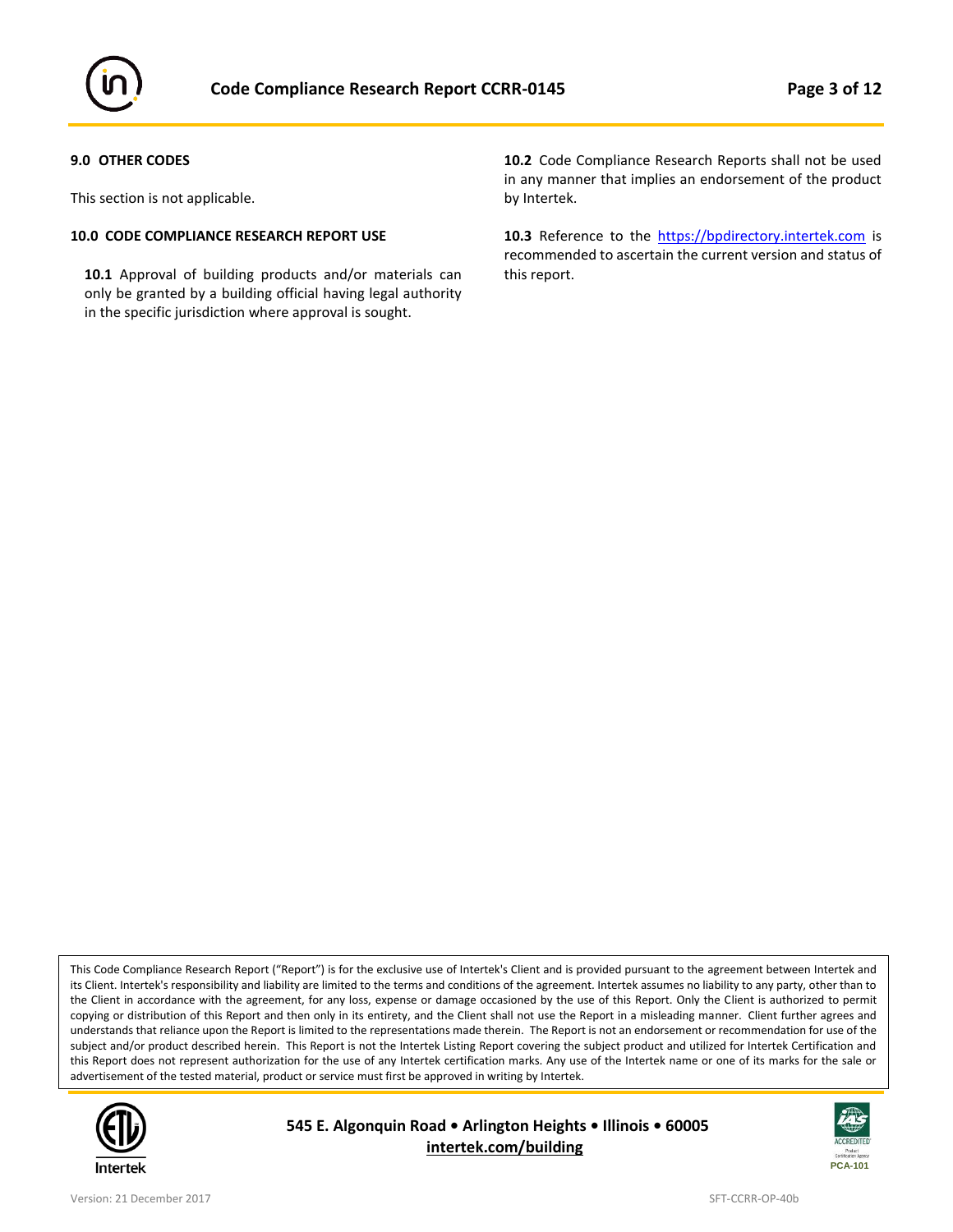

#### **9.0 OTHER CODES**

This section is not applicable.

#### **10.0 CODE COMPLIANCE RESEARCH REPORT USE**

**10.1** Approval of building products and/or materials can only be granted by a building official having legal authority in the specific jurisdiction where approval is sought.

**10.2** Code Compliance Research Reports shall not be used in any manner that implies an endorsement of the product by Intertek.

10.3 Reference to the [https://bpdirectory.intertek.com](https://whdirectory.intertek.com/Pages/DLP_Search.aspx) is recommended to ascertain the current version and status of this report.

This Code Compliance Research Report ("Report") is for the exclusive use of Intertek's Client and is provided pursuant to the agreement between Intertek and its Client. Intertek's responsibility and liability are limited to the terms and conditions of the agreement. Intertek assumes no liability to any party, other than to the Client in accordance with the agreement, for any loss, expense or damage occasioned by the use of this Report. Only the Client is authorized to permit copying or distribution of this Report and then only in its entirety, and the Client shall not use the Report in a misleading manner. Client further agrees and understands that reliance upon the Report is limited to the representations made therein. The Report is not an endorsement or recommendation for use of the subject and/or product described herein. This Report is not the Intertek Listing Report covering the subject product and utilized for Intertek Certification and this Report does not represent authorization for the use of any Intertek certification marks. Any use of the Intertek name or one of its marks for the sale or advertisement of the tested material, product or service must first be approved in writing by Intertek.



**545 E. Algonquin Road • Arlington Heights • Illinois • 60005 [intertek.com/building](http://www.intertek.com/building/)**

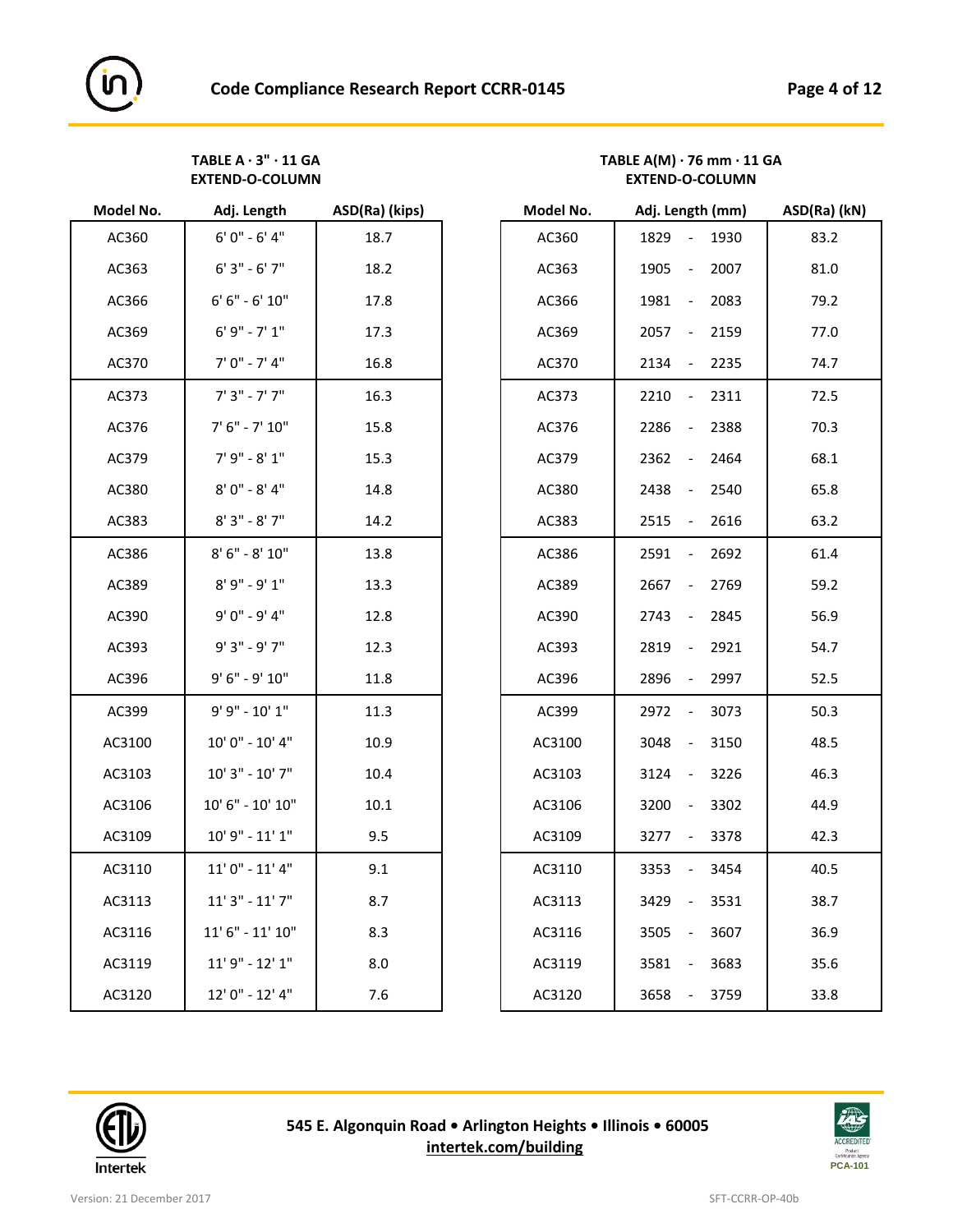### **TABLE A · 3" · 11 GA TABLE A(M) · 76 mm · 11 GA EXTEND-O-COLUMN EXTEND-O-COLUMN**

| Model No. | Adj. Length          | ASD(Ra) (kips) | Model No. | Adj. Length (mm)                         | ASD(Ra) |
|-----------|----------------------|----------------|-----------|------------------------------------------|---------|
| AC360     | $6'0'' - 6'4''$      | 18.7           | AC360     | 1829<br>1930<br>$\overline{\phantom{a}}$ | 83.2    |
| AC363     | $6'3'' - 6'7''$      | 18.2           | AC363     | 2007<br>1905<br>$\blacksquare$           | 81.0    |
| AC366     | $6' 6'' - 6' 10''$   | 17.8           | AC366     | 1981<br>2083<br>$\blacksquare$           | 79.2    |
| AC369     | $6' 9'' - 7' 1''$    | 17.3           | AC369     | 2057<br>2159<br>$\sim$                   | 77.0    |
| AC370     | $7' 0'' - 7' 4''$    | 16.8           | AC370     | 2134<br>2235<br>$\sim$                   | 74.7    |
| AC373     | $7'3'' - 7'7''$      | 16.3           | AC373     | $-2311$<br>2210                          | 72.5    |
| AC376     | $7' 6'' - 7' 10''$   | 15.8           | AC376     | 2388<br>2286<br>$\overline{\phantom{a}}$ | 70.3    |
| AC379     | $7'9'' - 8'1''$      | 15.3           | AC379     | 2362<br>2464<br>$\overline{\phantom{a}}$ | 68.1    |
| AC380     | $8'0'' - 8'4''$      | 14.8           | AC380     | 2438<br>2540<br>$\overline{\phantom{a}}$ | 65.8    |
| AC383     | $8'3'' - 8'7''$      | 14.2           | AC383     | 2515<br>2616<br>$\sim$                   | 63.2    |
| AC386     | $8' 6'' - 8' 10''$   | 13.8           | AC386     | 2692<br>2591<br>$\blacksquare$           | 61.4    |
| AC389     | $8'9'' - 9'1''$      | 13.3           | AC389     | 2769<br>2667<br>$\mathbb{Z}^2$           | 59.2    |
| AC390     | $9'0'' - 9'4''$      | 12.8           | AC390     | 2743<br>2845<br>$\sim$                   | 56.9    |
| AC393     | $9'3" - 9'7"$        | 12.3           | AC393     | 2819<br>2921<br>$\blacksquare$           | 54.7    |
| AC396     | 9' 6" - 9' 10"       | 11.8           | AC396     | 2997<br>2896<br>$\sim$                   | 52.5    |
| AC399     | $9' 9'' - 10' 1''$   | 11.3           | AC399     | 2972<br>3073<br>$\sim$                   | 50.3    |
| AC3100    | $10'0'' - 10'4''$    | 10.9           | AC3100    | 3048<br>3150<br>$\overline{\phantom{a}}$ | 48.5    |
| AC3103    | $10'3" - 10'7"$      | 10.4           | AC3103    | 3124<br>3226<br>$\overline{\phantom{a}}$ | 46.3    |
| AC3106    | $10' 6'' - 10' 10''$ | 10.1           | AC3106    | 3302<br>3200<br>$\sim$ $-$               | 44.9    |
| AC3109    | $10'$ 9" - $11'$ 1"  | 9.5            | AC3109    | 3378<br>3277<br>$\overline{\phantom{a}}$ | 42.3    |
| AC3110    | $11'0'' - 11'4''$    | 9.1            | AC3110    | 3353<br>3454<br>$\overline{\phantom{a}}$ | 40.5    |
| AC3113    | $11'3'' - 11'7''$    | 8.7            | AC3113    | 3531<br>3429<br>$\overline{\phantom{a}}$ | 38.7    |
| AC3116    | $11' 6'' - 11' 10''$ | 8.3            | AC3116    | 3505<br>3607<br>$\overline{\phantom{a}}$ | 36.9    |
| AC3119    | $11'9'' - 12'1''$    | 8.0            | AC3119    | 3581<br>3683<br>$\blacksquare$           | 35.6    |
| AC3120    | 12' 0" - 12' 4"      | 7.6            | AC3120    | 3658<br>3759<br>$\sim$ $-$               | 33.8    |
|           |                      |                |           |                                          |         |

| Model No. | Adj. Length            | ASD(Ra) (kips) | Model No. | Adj. Length (mm)                         | ASD(Ra) (kN) |
|-----------|------------------------|----------------|-----------|------------------------------------------|--------------|
| AC360     | $6'0'' - 6'4''$        | 18.7           | AC360     | 1829<br>1930<br>$\overline{\phantom{a}}$ | 83.2         |
| AC363     | $6'3'' - 6'7''$        | 18.2           | AC363     | 1905<br>2007<br>$\overline{\phantom{a}}$ | 81.0         |
| AC366     | $6' 6'' - 6' 10''$     | 17.8           | AC366     | 1981<br>2083<br>$\blacksquare$           | 79.2         |
| AC369     | $6'9'' - 7'1''$        | 17.3           | AC369     | 2159<br>2057<br>$\overline{\phantom{a}}$ | 77.0         |
| AC370     | $7' 0'' - 7' 4''$      | 16.8           | AC370     | 2134<br>2235<br>$\overline{\phantom{a}}$ | 74.7         |
| AC373     | $7'3" - 7'7"$          | 16.3           | AC373     | 2311<br>2210<br>$\overline{\phantom{a}}$ | 72.5         |
| AC376     | $7' 6'' - 7' 10''$     | 15.8           | AC376     | 2286<br>2388<br>$\overline{\phantom{a}}$ | 70.3         |
| AC379     | $7'9'' - 8'1''$        | 15.3           | AC379     | 2362<br>2464<br>$\blacksquare$           | 68.1         |
| AC380     | $8'0'' - 8'4''$        | 14.8           | AC380     | 2438<br>2540<br>$\overline{\phantom{a}}$ | 65.8         |
| AC383     | $8'3'' - 8'7''$        | 14.2           | AC383     | 2515<br>2616<br>$\overline{\phantom{a}}$ | 63.2         |
| AC386     | $8'$ 6" - $8'$ 10"     | 13.8           | AC386     | 2591<br>2692<br>$\overline{\phantom{a}}$ | 61.4         |
| AC389     | $8'9'' - 9'1''$        | 13.3           | AC389     | 2769<br>2667<br>$\overline{\phantom{a}}$ | 59.2         |
| AC390     | $9'0'' - 9'4''$        | 12.8           | AC390     | 2845<br>2743<br>$\overline{\phantom{a}}$ | 56.9         |
| AC393     | $9'3" - 9'7"$          | 12.3           | AC393     | 2921<br>2819<br>$\overline{\phantom{a}}$ | 54.7         |
| AC396     | 9' 6" - 9' 10"         | 11.8           | AC396     | 2896<br>2997<br>$\overline{\phantom{a}}$ | 52.5         |
| AC399     | 9' 9" - 10' 1"         | 11.3           | AC399     | 3073<br>2972<br>$\overline{\phantom{a}}$ | 50.3         |
| AC3100    | 10' 0" - 10' 4"        | 10.9           | AC3100    | 3048<br>3150<br>$\overline{\phantom{a}}$ | 48.5         |
| AC3103    | $10'3'' - 10'7''$      | 10.4           | AC3103    | 3226<br>3124<br>$\overline{\phantom{a}}$ | 46.3         |
| AC3106    | $10'$ 6" - $10'$ $10"$ | 10.1           | AC3106    | 3200<br>3302<br>$\overline{\phantom{a}}$ | 44.9         |
| AC3109    | $10'$ 9" - $11'$ 1"    | 9.5            | AC3109    | 3378<br>3277<br>$\blacksquare$           | 42.3         |
| AC3110    | $11'0'' - 11'4''$      | 9.1            | AC3110    | 3353<br>3454<br>$\overline{\phantom{a}}$ | 40.5         |
| AC3113    | $11'3'' - 11'7''$      | 8.7            | AC3113    | 3531<br>3429<br>$\overline{\phantom{a}}$ | 38.7         |
| AC3116    | $11' 6'' - 11' 10''$   | 8.3            | AC3116    | 3505<br>3607<br>$\overline{\phantom{a}}$ | 36.9         |
| AC3119    | $11'9'' - 12'1''$      | 8.0            | AC3119    | 3581<br>3683                             | 35.6         |
| AC3120    | 12' 0" - 12' 4"        | 7.6            | AC3120    | 3759<br>3658<br>$\sim$                   | 33.8         |



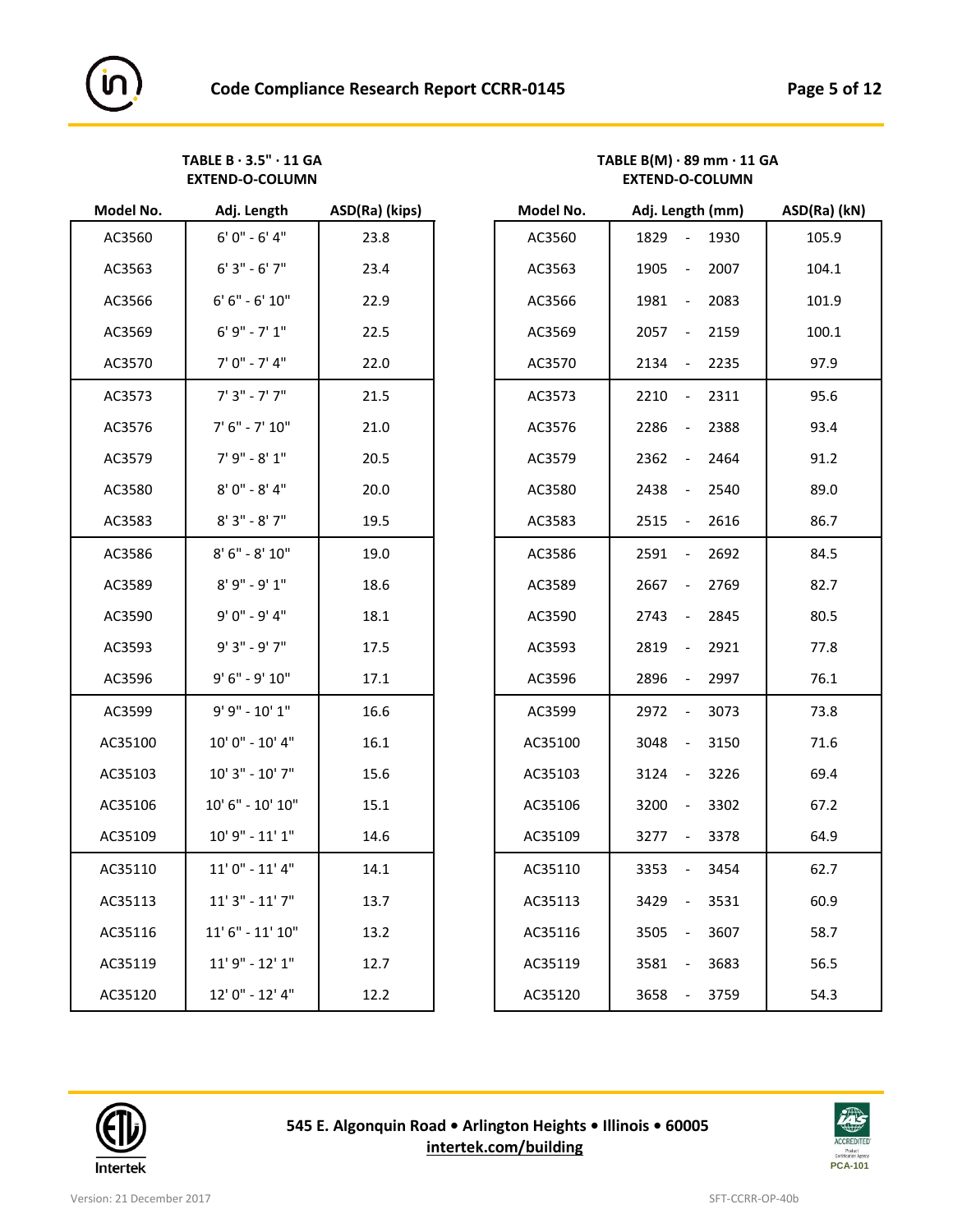## **TABLE B · 3.5" · 11 GA TABLE B(M) · 89 mm · 11 GA**

| $6' 0'' - 6' 4''$<br>23.8<br>AC3560<br>$6'3'' - 6'7''$<br>AC3563<br>23.4<br>$6' 6'' - 6' 10''$<br>AC3566<br>22.9<br>$6'9'' - 7'1''$<br>AC3569<br>22.5 |  |
|-------------------------------------------------------------------------------------------------------------------------------------------------------|--|
|                                                                                                                                                       |  |
|                                                                                                                                                       |  |
|                                                                                                                                                       |  |
|                                                                                                                                                       |  |
| $7' 0'' - 7' 4''$<br>AC3570<br>22.0                                                                                                                   |  |
| $7'3'' - 7'7''$<br>21.5<br>AC3573                                                                                                                     |  |
| $7' 6'' - 7' 10''$<br>AC3576<br>21.0                                                                                                                  |  |
| $7'9'' - 8'1''$<br>AC3579<br>20.5                                                                                                                     |  |
| $8'0'' - 8'4''$<br>AC3580<br>20.0                                                                                                                     |  |
| $8'3'' - 8'7''$<br>AC3583<br>19.5                                                                                                                     |  |
| $8' 6'' - 8' 10''$<br>AC3586<br>19.0                                                                                                                  |  |
| $8'9'' - 9'1''$<br>AC3589<br>18.6                                                                                                                     |  |
| 9' 0" - 9' 4"<br>AC3590<br>18.1                                                                                                                       |  |
| 9' 3" - 9' 7"<br>AC3593<br>17.5                                                                                                                       |  |
| 9' 6" - 9' 10"<br>AC3596<br>17.1                                                                                                                      |  |
| 9' 9" - 10' 1"<br>AC3599<br>16.6                                                                                                                      |  |
| 10' 0" - 10' 4"<br>AC35100<br>16.1                                                                                                                    |  |
| 10' 3" - 10' 7"<br>AC35103<br>15.6                                                                                                                    |  |
| 10' 6" - 10' 10"<br>15.1<br>AC35106                                                                                                                   |  |
| $10'$ 9" - $11'$ 1"<br>AC35109<br>14.6                                                                                                                |  |
| $11'0'' - 11'4''$<br>14.1<br>AC35110                                                                                                                  |  |
| $11'3'' - 11'7''$<br>AC35113<br>13.7                                                                                                                  |  |
| $11' 6'' - 11' 10''$<br>13.2<br>AC35116                                                                                                               |  |
| $11'9'' - 12'1''$<br>AC35119<br>12.7                                                                                                                  |  |
| 12' 0" - 12' 4"<br>12.2<br>AC35120                                                                                                                    |  |

| Model No. | Adj. Length            | ASD(Ra) (kips) | Model No. | Adj. Length (mm)                         | ASD(Ra) (kN) |
|-----------|------------------------|----------------|-----------|------------------------------------------|--------------|
| AC3560    | $6'0'' - 6'4''$        | 23.8           | AC3560    | 1930<br>1829<br>$\blacksquare$           | 105.9        |
| AC3563    | $6'3'' - 6'7''$        | 23.4           | AC3563    | 1905<br>2007<br>$\overline{\phantom{a}}$ | 104.1        |
| AC3566    | $6' 6'' - 6' 10''$     | 22.9           | AC3566    | 2083<br>1981<br>$\overline{\phantom{a}}$ | 101.9        |
| AC3569    | $6'9'' - 7'1''$        | 22.5           | AC3569    | 2057<br>2159<br>$\overline{\phantom{a}}$ | 100.1        |
| AC3570    | $7' 0'' - 7' 4''$      | 22.0           | AC3570    | 2134<br>2235<br>$\overline{\phantom{a}}$ | 97.9         |
| AC3573    | $7'3'' - 7'7''$        | 21.5           | AC3573    | 2210<br>2311<br>$\overline{\phantom{a}}$ | 95.6         |
| AC3576    | $7' 6'' - 7' 10''$     | 21.0           | AC3576    | 2286<br>2388<br>$\overline{\phantom{a}}$ | 93.4         |
| AC3579    | $7'9'' - 8'1''$        | 20.5           | AC3579    | 2362<br>2464<br>$\blacksquare$           | 91.2         |
| AC3580    | $8'0'' - 8'4''$        | 20.0           | AC3580    | 2438<br>2540<br>$\overline{\phantom{a}}$ | 89.0         |
| AC3583    | $8'3'' - 8'7''$        | 19.5           | AC3583    | 2515<br>2616<br>$\overline{\phantom{a}}$ | 86.7         |
| AC3586    | $8'$ 6" - $8'$ 10"     | 19.0           | AC3586    | 2591<br>2692<br>$\overline{\phantom{a}}$ | 84.5         |
| AC3589    | $8'9'' - 9'1''$        | 18.6           | AC3589    | 2667<br>2769<br>$\overline{\phantom{a}}$ | 82.7         |
| AC3590    | 9' 0" - 9' 4"          | 18.1           | AC3590    | 2743<br>2845<br>$\overline{\phantom{a}}$ | 80.5         |
| AC3593    | $9'3" - 9'7"$          | 17.5           | AC3593    | 2819<br>2921<br>$\overline{\phantom{a}}$ | 77.8         |
| AC3596    | 9' 6" - 9' 10"         | 17.1           | AC3596    | 2997<br>2896<br>$\overline{\phantom{a}}$ | 76.1         |
| AC3599    | 9' 9" - 10' 1"         | 16.6           | AC3599    | 3073<br>2972<br>$\overline{\phantom{a}}$ | 73.8         |
| AC35100   | 10' 0" - 10' 4"        | 16.1           | AC35100   | 3048<br>3150<br>$\overline{\phantom{a}}$ | 71.6         |
| AC35103   | $10'3" - 10'7"$        | 15.6           | AC35103   | 3124<br>3226<br>$\overline{\phantom{a}}$ | 69.4         |
| AC35106   | $10'$ 6" - $10'$ $10"$ | 15.1           | AC35106   | 3302<br>3200<br>$\overline{\phantom{a}}$ | 67.2         |
| AC35109   | $10'$ 9" - $11'$ 1"    | 14.6           | AC35109   | 3378<br>3277<br>$\overline{\phantom{a}}$ | 64.9         |
| AC35110   | $11'0'' - 11'4''$      | 14.1           | AC35110   | 3353<br>3454<br>$\overline{\phantom{a}}$ | 62.7         |
| AC35113   | $11'3'' - 11'7''$      | 13.7           | AC35113   | 3429<br>3531<br>$\overline{\phantom{a}}$ | 60.9         |
| AC35116   | $11' 6'' - 11' 10''$   | 13.2           | AC35116   | 3607<br>3505<br>$\overline{\phantom{a}}$ | 58.7         |
| AC35119   | 11' 9" - 12' 1"        | 12.7           | AC35119   | 3581<br>3683<br>$\overline{\phantom{a}}$ | 56.5         |
| AC35120   | 12' 0" - 12' 4"        | 12.2           | AC35120   | 3759<br>3658                             | 54.3         |

**EXTEND-O-COLUMN EXTEND-O-COLUMN**



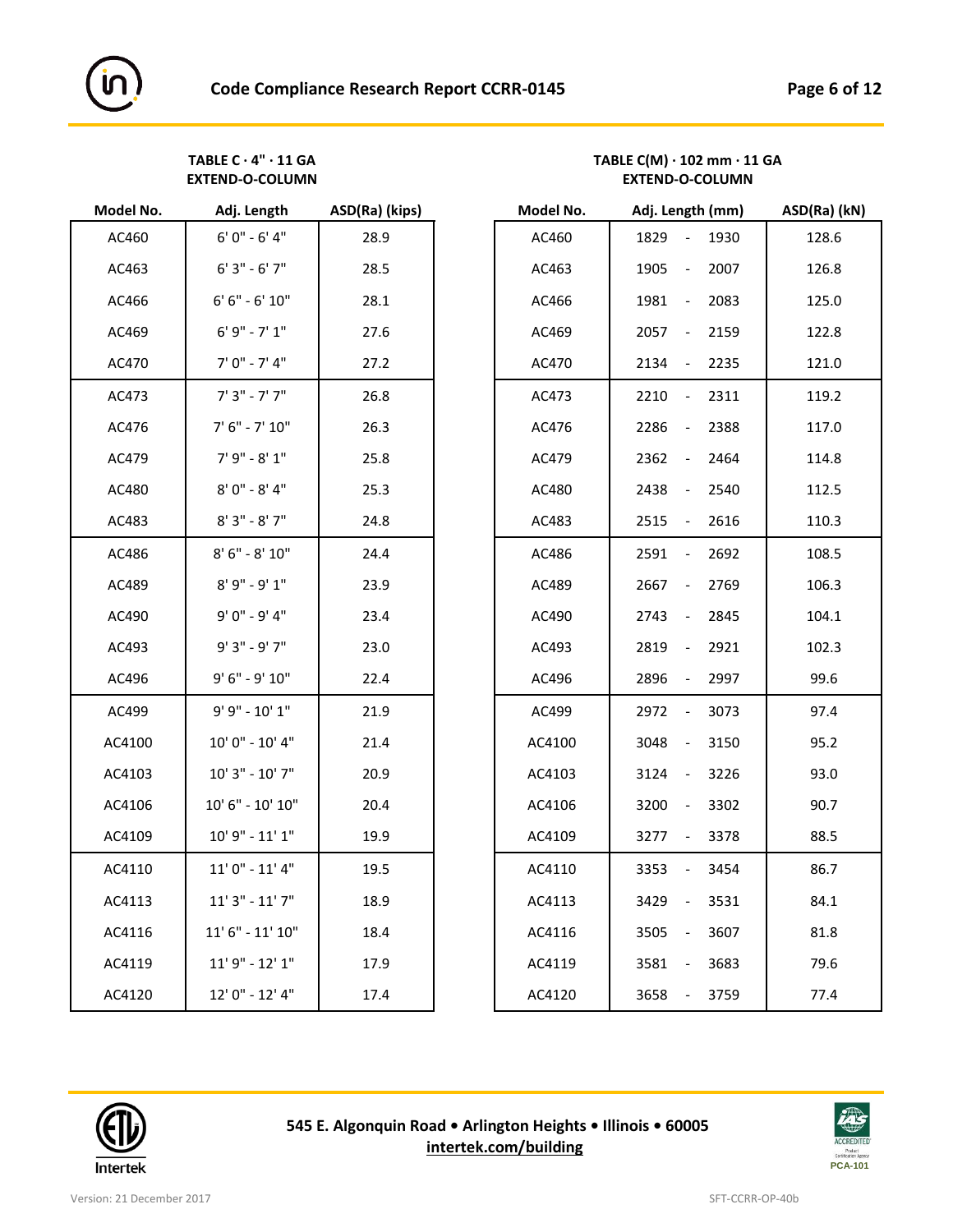# **TABLE C · 4" · 11 GA TABLE C(M) · 102 mm · 11 GA**

| Model No. | Adj. Length          | ASD(Ra) (kips) |
|-----------|----------------------|----------------|
| AC460     | $6'0'' - 6'4''$      | 28.9           |
| AC463     | $6'3'' - 6'7''$      | 28.5           |
| AC466     | $6' 6'' - 6' 10''$   | 28.1           |
| AC469     | $6'9'' - 7'1''$      | 27.6           |
| AC470     | 7' 0" - 7' 4"        | 27.2           |
| AC473     | $7'3" - 7'7"$        | 26.8           |
| AC476     | $7' 6'' - 7' 10''$   | 26.3           |
| AC479     | $7'9'' - 8'1''$      | 25.8           |
| AC480     | $8'0'' - 8'4''$      | 25.3           |
| AC483     | $8'3'' - 8'7''$      | 24.8           |
| AC486     | $8' 6'' - 8' 10''$   | 24.4           |
| AC489     | $8'9'' - 9'1''$      | 23.9           |
| AC490     | 9' 0" - 9' 4"        | 23.4           |
| AC493     | 9' 3" - 9' 7"        | 23.0           |
| AC496     | 9' 6" - 9' 10"       | 22.4           |
| AC499     | 9' 9" - 10' 1"       | 21.9           |
| AC4100    | 10' 0" - 10' 4"      | 21.4           |
| AC4103    | 10' 3" - 10' 7"      | 20.9           |
| AC4106    | 10' 6" - 10' 10"     | 20.4           |
| AC4109    | 10' 9" - 11' 1"      | 19.9           |
| AC4110    | $11'0'' - 11'4''$    | 19.5           |
| AC4113    | $11'3" - 11'7"$      | 18.9           |
| AC4116    | $11' 6'' - 11' 10''$ | 18.4           |
| AC4119    | $11'9'' - 12'1''$    | 17.9           |
| AC4120    | 12' 0" - 12' 4"      | 17.4           |

| Model No. | Adj. Length          | ASD(Ra) (kips) | Model No. | Adj. Length (mm)                             | ASD(Ra) (kN) |
|-----------|----------------------|----------------|-----------|----------------------------------------------|--------------|
| AC460     | $6'0'' - 6'4''$      | 28.9           | AC460     | 1829<br>1930<br>$\overline{\phantom{a}}$     | 128.6        |
| AC463     | $6'3'' - 6'7''$      | 28.5           | AC463     | 2007<br>1905<br>$\overline{\phantom{a}}$     | 126.8        |
| AC466     | $6' 6'' - 6' 10''$   | 28.1           | AC466     | 1981<br>2083<br>$\blacksquare$               | 125.0        |
| AC469     | $6'9'' - 7'1''$      | 27.6           | AC469     | 2057<br>2159<br>$\overline{\phantom{a}}$     | 122.8        |
| AC470     | $7' 0'' - 7' 4''$    | 27.2           | AC470     | 2134<br>2235<br>$\overline{\phantom{a}}$     | 121.0        |
| AC473     | $7'3'' - 7'7''$      | 26.8           | AC473     | 2311<br>2210<br>$\overline{\phantom{a}}$     | 119.2        |
| AC476     | $7' 6'' - 7' 10''$   | 26.3           | AC476     | 2286<br>2388<br>$\overline{\phantom{a}}$     | 117.0        |
| AC479     | $7'9'' - 8'1''$      | 25.8           | AC479     | 2362<br>2464<br>$\overline{\phantom{a}}$     | 114.8        |
| AC480     | $8'0'' - 8'4''$      | 25.3           | AC480     | 2438<br>2540<br>$\overline{\phantom{a}}$     | 112.5        |
| AC483     | $8'3'' - 8'7''$      | 24.8           | AC483     | 2515<br>2616<br>$\overline{\phantom{a}}$     | 110.3        |
| AC486     | $8'$ 6" - $8'$ 10"   | 24.4           | AC486     | 2591<br>2692<br>$\overline{\phantom{a}}$     | 108.5        |
| AC489     | $8'9'' - 9'1''$      | 23.9           | AC489     | 2667<br>2769<br>$\overline{\phantom{a}}$     | 106.3        |
| AC490     | 9' 0" - 9' 4"        | 23.4           | AC490     | 2845<br>2743<br>$\overline{\phantom{a}}$     | 104.1        |
| AC493     | $9'3" - 9'7"$        | 23.0           | AC493     | 2921<br>2819<br>$\overline{\phantom{a}}$     | 102.3        |
| AC496     | 9' 6" - 9' 10"       | 22.4           | AC496     | 2896<br>2997<br>$\overline{\phantom{a}}$     | 99.6         |
| AC499     | 9' 9" - 10' 1"       | 21.9           | AC499     | 2972<br>3073<br>$\overline{\phantom{a}}$     | 97.4         |
| AC4100    | $10'0'' - 10'4''$    | 21.4           | AC4100    | 3048<br>3150<br>$\overline{\phantom{a}}$     | 95.2         |
| AC4103    | $10'3'' - 10'7''$    | 20.9           | AC4103    | 3124<br>3226<br>$\overline{\phantom{a}}$     | 93.0         |
| AC4106    | 10' 6" - 10' 10"     | 20.4           | AC4106    | 3302<br>3200<br>$\overline{\phantom{a}}$     | 90.7         |
| AC4109    | $10'$ 9" - $11'$ 1"  | 19.9           | AC4109    | 3378<br>3277<br>$\overline{\phantom{a}}$     | 88.5         |
| AC4110    | $11'0'' - 11'4''$    | 19.5           | AC4110    | 3353<br>3454<br>$\qquad \qquad \blacksquare$ | 86.7         |
| AC4113    | $11'3" - 11'7"$      | 18.9           | AC4113    | 3429<br>3531<br>$\overline{\phantom{a}}$     | 84.1         |
| AC4116    | $11' 6'' - 11' 10''$ | 18.4           | AC4116    | 3607<br>3505<br>$\qquad \qquad \blacksquare$ | 81.8         |
| AC4119    | $11'9'' - 12'1''$    | 17.9           | AC4119    | 3581<br>3683<br>$\overline{\phantom{a}}$     | 79.6         |
| AC4120    | 12' 0" - 12' 4"      | 17.4           | AC4120    | 3658<br>3759<br>$\overline{\phantom{a}}$     | 77.4         |

**EXTEND-O-COLUMN EXTEND-O-COLUMN**



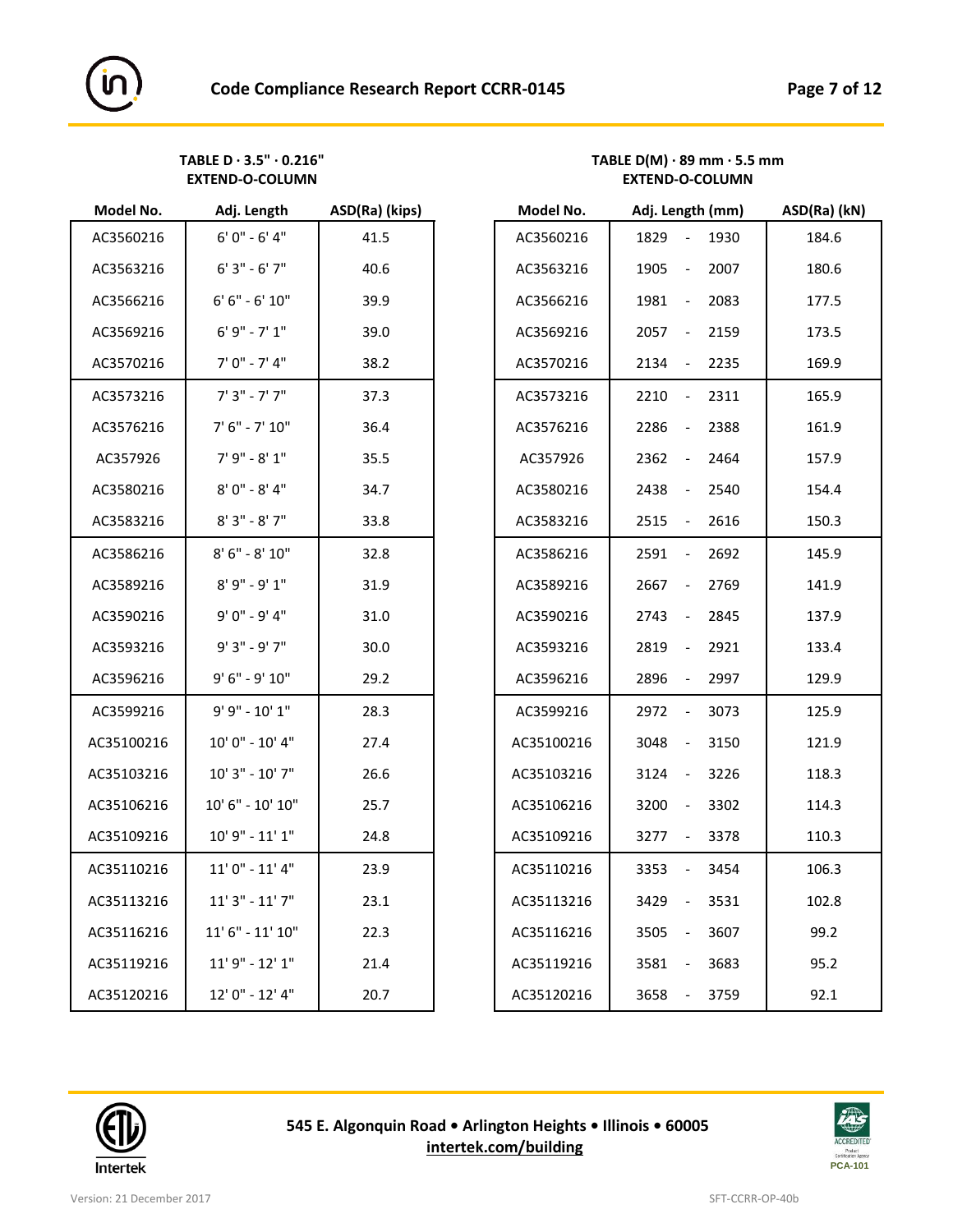

| Model No.  | Adj. Length                                                          | ASD(Ra) (Kips) | Model No.  | Adj. Length (mm)           | ASD(Ra) ( |
|------------|----------------------------------------------------------------------|----------------|------------|----------------------------|-----------|
| AC3560216  | $6'0'' - 6'4''$                                                      | 41.5           | AC3560216  | 1829<br>1930               | 184.6     |
| AC3563216  | $6'3'' - 6'7''$                                                      | 40.6           | AC3563216  | 2007<br>1905<br>$\sim$ $-$ | 180.6     |
| AC3566216  | $6' 6'' - 6' 10''$                                                   | 39.9           | AC3566216  | 1981<br>2083<br>$\sim$     | 177.5     |
| AC3569216  | $6'9'' - 7'1''$                                                      | 39.0           | AC3569216  | 2159<br>2057 -             | 173.5     |
| AC3570216  | $7' 0'' - 7' 4''$                                                    | 38.2           | AC3570216  | 2235<br>2134<br>$\sim$     | 169.9     |
| AC3573216  | $7'3'' - 7'7''$                                                      | 37.3           | AC3573216  | 2311<br>2210<br>$\sim$ $-$ | 165.9     |
| AC3576216  | $7' 6'' - 7' 10''$                                                   | 36.4           | AC3576216  | 2286<br>2388               | 161.9     |
| AC357926   | $7' 9'' - 8' 1''$                                                    | 35.5           | AC357926   | 2362<br>2464<br>$\sim$ $-$ | 157.9     |
| AC3580216  | $8'0'' - 8'4''$                                                      | 34.7           | AC3580216  | 2438<br>2540<br>$\sim$     | 154.4     |
| AC3583216  | $8'3'' - 8'7''$                                                      | 33.8           | AC3583216  | 2616<br>2515<br>$\sim$     | 150.3     |
| AC3586216  | $8' 6'' - 8' 10''$                                                   | 32.8           | AC3586216  | 2591<br>2692<br>$\sim$     | 145.9     |
| AC3589216  | $8'9'' - 9'1''$                                                      | 31.9           | AC3589216  | 2769<br>2667<br>$\sim$     | 141.9     |
| AC3590216  | $9'0'' - 9'4''$                                                      | 31.0           | AC3590216  | 2845<br>2743<br>$\sim$ $-$ | 137.9     |
| AC3593216  | $9'3" - 9'7"$                                                        | 30.0           | AC3593216  | 2819<br>2921<br>$\sim$     | 133.4     |
| AC3596216  | $9' 6'' - 9' 10''$                                                   | 29.2           | AC3596216  | 2896<br>2997<br>$\sim$     | 129.9     |
| AC3599216  | $9' 9'' - 10' 1''$                                                   | 28.3           | AC3599216  | 2972<br>3073<br>$\sim$     | 125.9     |
| AC35100216 | $10'0'' - 10'4''$                                                    | 27.4           | AC35100216 | 3048<br>3150<br>$\sim$     | 121.9     |
| AC35103216 | $10'3" - 10'7"$                                                      | 26.6           | AC35103216 | 3124<br>3226<br>$\sim$     | 118.3     |
| AC35106216 | $10^{\prime}$ $6^{\prime\prime}$ - $10^{\prime}$ $10^{\prime\prime}$ | 25.7           | AC35106216 | 3302<br>3200<br>$\sim$ $-$ | 114.3     |
| AC35109216 | $10'$ 9" - $11'$ 1"                                                  | 24.8           | AC35109216 | 3378<br>3277<br>$\sim$     | 110.3     |
| AC35110216 | $11'0'' - 11'4''$                                                    | 23.9           | AC35110216 | 3454<br>3353<br>$\sim$ $-$ | 106.3     |
| AC35113216 | $11'3'' - 11'7''$                                                    | 23.1           | AC35113216 | 3429<br>3531<br>$\sim$     | 102.8     |
| AC35116216 | $11'$ $6''$ - $11'$ $10''$                                           | 22.3           | AC35116216 | 3505<br>3607<br>$\sim$     | 99.2      |
| AC35119216 | $11'9'' - 12'1''$                                                    | 21.4           | AC35119216 | 3581<br>3683<br>$\sim$     | 95.2      |
| AC35120216 | 12' 0" - 12' 4"                                                      | 20.7           | AC35120216 | 3658<br>3759<br>$\sim$     | 92.1      |

#### TABLE D · 3.5" · 0.216"<br>
EXTEND-O-COLUMN
EXTEND-O-COLUMN
EXTEND-O-COLUMN
EXTEND-O-COLUMN

TABLE D(M) · 89 mm · 5.5 mm **EXTEND-O-COLUMN EXTEND-O-COLUMN**

| Model No.  | Adj. Length                | ASD(Ra) (kips) | Model No.  | Adj. Length (mm)               | ASD(Ra) (kN) |
|------------|----------------------------|----------------|------------|--------------------------------|--------------|
| AC3560216  | $6'0'' - 6'4''$            | 41.5           | AC3560216  | 1829<br>$-1930$                | 184.6        |
| AC3563216  | $6'3'' - 6'7''$            | 40.6           | AC3563216  | 2007<br>1905<br>$\blacksquare$ | 180.6        |
| AC3566216  | $6' 6'' - 6' 10''$         | 39.9           | AC3566216  | 2083<br>1981<br>$\sim$ $-$     | 177.5        |
| AC3569216  | $6'9'' - 7'1''$            | 39.0           | AC3569216  | 2159<br>2057<br>$\sim$         | 173.5        |
| AC3570216  | $7' 0'' - 7' 4''$          | 38.2           | AC3570216  | 2134<br>2235<br>$\sim$         | 169.9        |
| AC3573216  | $7'3'' - 7'7''$            | 37.3           | AC3573216  | 2311<br>2210<br>$\sim$         | 165.9        |
| AC3576216  | $7' 6'' - 7' 10''$         | 36.4           | AC3576216  | 2388<br>2286<br>$\sim$         | 161.9        |
| AC357926   | $7'9'' - 8'1''$            | 35.5           | AC357926   | 2464<br>2362<br>$\sim$         | 157.9        |
| AC3580216  | $8'0'' - 8'4''$            | 34.7           | AC3580216  | 2540<br>2438<br>$\sim$ $-$     | 154.4        |
| AC3583216  | $8'3''$ - $8'$ $7''$       | 33.8           | AC3583216  | 2515<br>2616<br>$\sim$ $-$     | 150.3        |
| AC3586216  | $8' 6'' - 8' 10''$         | 32.8           | AC3586216  | 2692<br>2591<br>$\sim$         | 145.9        |
| AC3589216  | $8'9'' - 9'1''$            | 31.9           | AC3589216  | 2769<br>2667<br>$\sim$         | 141.9        |
| AC3590216  | $9'0'' - 9'4''$            | 31.0           | AC3590216  | 2845<br>2743<br>$\sim$         | 137.9        |
| AC3593216  | $9'3" - 9'7"$              | 30.0           | AC3593216  | 2921<br>2819<br>$\sim$ $-$     | 133.4        |
| AC3596216  | 9' 6" - 9' 10"             | 29.2           | AC3596216  | 2997<br>2896<br>$\sim 10$      | 129.9        |
| AC3599216  | 9' 9" - 10' 1"             | 28.3           | AC3599216  | 2972<br>$-3073$                | 125.9        |
| AC35100216 | $10'0'' - 10'4''$          | 27.4           | AC35100216 | 3048<br>3150<br>$\blacksquare$ | 121.9        |
| AC35103216 | $10'3" - 10'7"$            | 26.6           | AC35103216 | 3226<br>3124<br>$\sim$         | 118.3        |
| AC35106216 | $10'$ $6''$ - $10'$ $10''$ | 25.7           | AC35106216 | 3302<br>3200<br>$\sim$         | 114.3        |
| AC35109216 | $10'$ 9" - $11'$ 1"        | 24.8           | AC35109216 | 3378<br>3277 -                 | 110.3        |
| AC35110216 | $11'0'' - 11'4''$          | 23.9           | AC35110216 | 3454<br>3353<br>$\sim$         | 106.3        |
| AC35113216 | $11'3'' - 11'7''$          | 23.1           | AC35113216 | 3429<br>3531<br>$\sim$         | 102.8        |
| AC35116216 | $11' 6'' - 11' 10''$       | 22.3           | AC35116216 | 3505<br>3607<br>$\sim$         | 99.2         |
| AC35119216 | $11'9'' - 12'1''$          | 21.4           | AC35119216 | 3683<br>3581<br>$\sim$         | 95.2         |
| AC35120216 | 12' 0" - 12' 4"            | 20.7           | AC35120216 | 3658<br>3759<br>$\sim$ $ \sim$ | 92.1         |



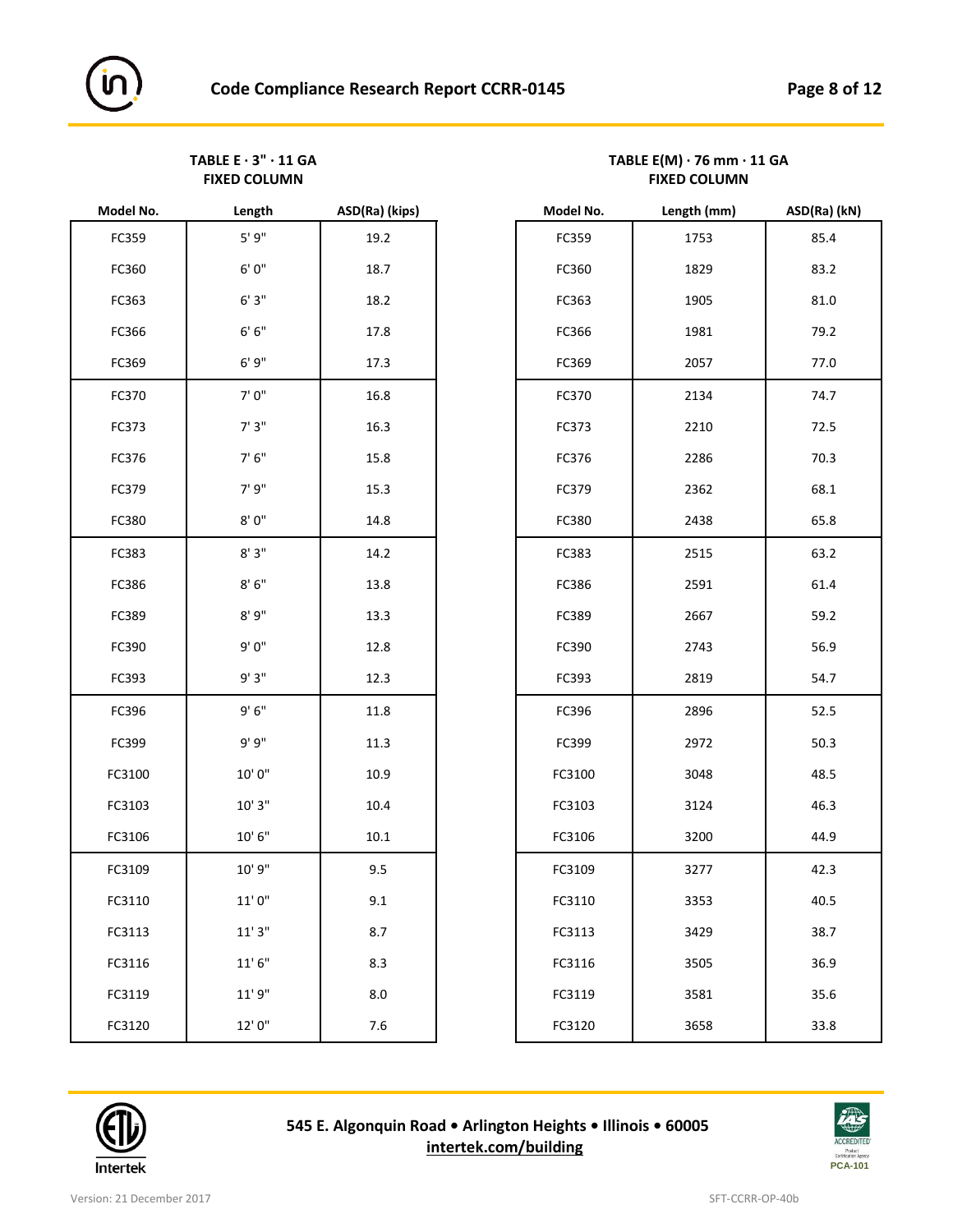TABLE E · 3" · 11 GA<br>
FIXED COLUMN **TABLE E(M)** · 76 mm · 11 GA **FIXED COLUMN FIXED COLUMN**

| Model No. | Length               | ASD(Ra) (Kips) | Model No. | Length (mm) | ASD(Ra) |
|-----------|----------------------|----------------|-----------|-------------|---------|
| FC359     | $5'9"$               | 19.2           | FC359     | 1753        | 85.4    |
| FC360     | $6'0''$              | 18.7           | FC360     | 1829        | 83.2    |
| FC363     | 6'3''                | 18.2           | FC363     | 1905        | 81.0    |
| FC366     | 6'6''                | 17.8           | FC366     | 1981        | 79.2    |
| FC369     | 6'9''                | 17.3           | FC369     | 2057        | 77.0    |
| FC370     | 7'0"                 | 16.8           | FC370     | 2134        | 74.7    |
| FC373     | 7'3''                | 16.3           | FC373     | 2210        | 72.5    |
| FC376     | 7'6''                | 15.8           | FC376     | 2286        | 70.3    |
| FC379     | 7'9"                 | 15.3           | FC379     | 2362        | 68.1    |
| FC380     | $8'$ $0''$           | 14.8           | FC380     | 2438        | 65.8    |
| FC383     | 8'3''                | 14.2           | FC383     | 2515        | 63.2    |
| FC386     | $8'6''$              | 13.8           | FC386     | 2591        | 61.4    |
| FC389     | 8'9''                | 13.3           | FC389     | 2667        | 59.2    |
| FC390     | 9'0"                 | 12.8           | FC390     | 2743        | 56.9    |
| FC393     | 9'3"                 | 12.3           | FC393     | 2819        | 54.7    |
| FC396     | 9'6''                | 11.8           | FC396     | 2896        | 52.5    |
| FC399     | 9'9"                 | 11.3           | FC399     | 2972        | 50.3    |
| FC3100    | $10^\circ$ $0^\circ$ | 10.9           | FC3100    | 3048        | 48.5    |
| FC3103    | 10'3''               | 10.4           | FC3103    | 3124        | 46.3    |
| FC3106    | $10'$ $6''$          | $10.1\,$       | FC3106    | 3200        | 44.9    |
| FC3109    | 10' 9"               | 9.5            | FC3109    | 3277        | 42.3    |
| FC3110    | $11'$ $0''$          | 9.1            | FC3110    | 3353        | 40.5    |
| FC3113    | 11'3''               | 8.7            | FC3113    | 3429        | 38.7    |
| FC3116    | 11'6''               | 8.3            | FC3116    | 3505        | 36.9    |
| FC3119    | 11'9''               | 8.0            | FC3119    | 3581        | 35.6    |
| FC3120    | 12'0"                | $7.6$          | FC3120    | 3658        | 33.8    |
|           |                      |                |           |             |         |

| Model No. | Length      | ASD(Ra) (kips) | Model No. | Length (mm) | ASD(Ra) (kN) |
|-----------|-------------|----------------|-----------|-------------|--------------|
| FC359     | 5'9''       | 19.2           | FC359     | 1753        | 85.4         |
| FC360     | $6'0''$     | 18.7           | FC360     | 1829        | 83.2         |
| FC363     | 6'3''       | 18.2           | FC363     | 1905        | 81.0         |
| FC366     | 6'6''       | 17.8           | FC366     | 1981        | 79.2         |
| FC369     | 6'9''       | 17.3           | FC369     | 2057        | 77.0         |
| FC370     | 7'0''       | 16.8           | FC370     | 2134        | 74.7         |
| FC373     | 7'3''       | 16.3           | FC373     | 2210        | 72.5         |
| FC376     | 7'6''       | 15.8           | FC376     | 2286        | 70.3         |
| FC379     | 7'9"        | 15.3           | FC379     | 2362        | 68.1         |
| FC380     | $8'0''$     | 14.8           | FC380     | 2438        | 65.8         |
| FC383     | 8'3''       | 14.2           | FC383     | 2515        | 63.2         |
| FC386     | $8'6''$     | 13.8           | FC386     | 2591        | 61.4         |
| FC389     | 8'9''       | 13.3           | FC389     | 2667        | 59.2         |
| FC390     | 9'0''       | 12.8           | FC390     | 2743        | 56.9         |
| FC393     | 9'3"        | 12.3           | FC393     | 2819        | 54.7         |
| FC396     | 9'6''       | 11.8           | FC396     | 2896        | 52.5         |
| FC399     | 9'9"        | 11.3           | FC399     | 2972        | 50.3         |
| FC3100    | 10'0"       | 10.9           | FC3100    | 3048        | 48.5         |
| FC3103    | $10'$ $3''$ | 10.4           | FC3103    | 3124        | 46.3         |
| FC3106    | $10'$ $6''$ | $10.1\,$       | FC3106    | 3200        | 44.9         |
| FC3109    | 10' 9"      | 9.5            | FC3109    | 3277        | 42.3         |
| FC3110    | $11'$ $0''$ | 9.1            | FC3110    | 3353        | 40.5         |
| FC3113    | 11'3''      | 8.7            | FC3113    | 3429        | 38.7         |
| FC3116    | 11'6''      | 8.3            | FC3116    | 3505        | 36.9         |
| FC3119    | 11'9"       | $8.0\,$        | FC3119    | 3581        | 35.6         |
| FC3120    | 12'0"       | $7.6$          | FC3120    | 3658        | 33.8         |



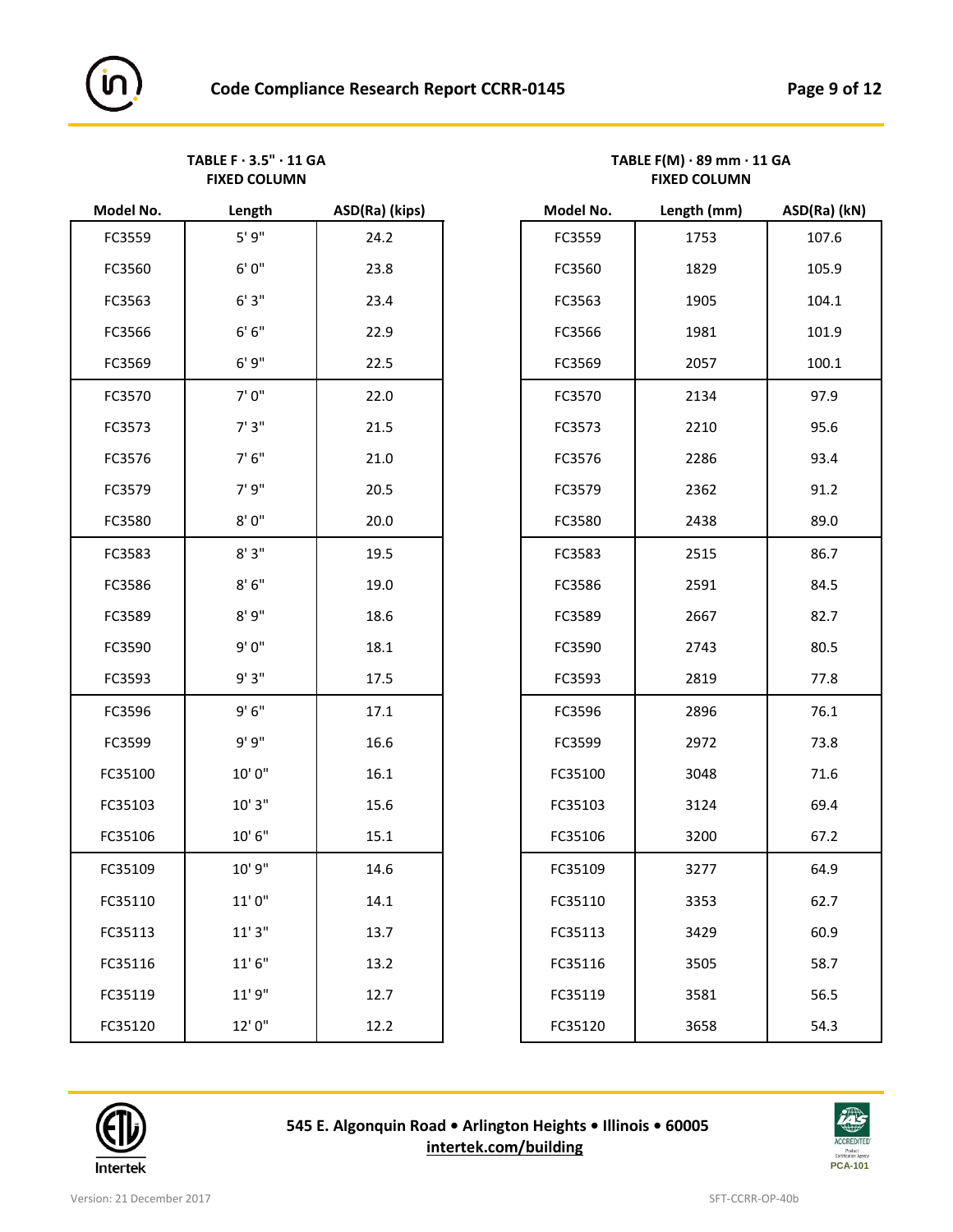**FIXED COLUMN FIXED COLUMN**

| Model No. | Length      | ASD(Ra) (kips) | Model No. | Length (mm) | ASD(Ra) |
|-----------|-------------|----------------|-----------|-------------|---------|
| FC3559    | 5'9''       | 24.2           | FC3559    | 1753        | 107.6   |
| FC3560    | $6'0''$     | 23.8           | FC3560    | 1829        | 105.9   |
| FC3563    | 6'3''       | 23.4           | FC3563    | 1905        | 104.1   |
| FC3566    | 6' 6''      | 22.9           | FC3566    | 1981        | 101.9   |
| FC3569    | 6'9''       | 22.5           | FC3569    | 2057        | 100.1   |
| FC3570    | 7'0''       | 22.0           | FC3570    | 2134        | 97.9    |
| FC3573    | 7'3''       | 21.5           | FC3573    | 2210        | 95.6    |
| FC3576    | 7' 6''      | 21.0           | FC3576    | 2286        | 93.4    |
| FC3579    | 7' 9"       | 20.5           | FC3579    | 2362        | 91.2    |
| FC3580    | $8'$ $0''$  | 20.0           | FC3580    | 2438        | 89.0    |
| FC3583    | $8'3''$     | 19.5           | FC3583    | 2515        | 86.7    |
| FC3586    | $8'$ $6''$  | 19.0           | FC3586    | 2591        | 84.5    |
| FC3589    | 8'9''       | 18.6           | FC3589    | 2667        | 82.7    |
| FC3590    | 9'0''       | 18.1           | FC3590    | 2743        | 80.5    |
| FC3593    | 9'3''       | 17.5           | FC3593    | 2819        | 77.8    |
| FC3596    | 9'6''       | 17.1           | FC3596    | 2896        | 76.1    |
| FC3599    | 9' 9''      | 16.6           | FC3599    | 2972        | 73.8    |
| FC35100   | 10'0"       | 16.1           | FC35100   | 3048        | 71.6    |
| FC35103   | 10'3''      | 15.6           | FC35103   | 3124        | 69.4    |
| FC35106   | $10'$ $6''$ | 15.1           | FC35106   | 3200        | 67.2    |
| FC35109   | 10' 9"      | 14.6           | FC35109   | 3277        | 64.9    |
| FC35110   | 11'0''      | 14.1           | FC35110   | 3353        | 62.7    |
| FC35113   | 11'3''      | 13.7           | FC35113   | 3429        | 60.9    |
| FC35116   | 11'6''      | 13.2           | FC35116   | 3505        | 58.7    |
| FC35119   | 11'9"       | 12.7           | FC35119   | 3581        | 56.5    |
| FC35120   | 12'0"       | 12.2           | FC35120   | 3658        | 54.3    |
|           |             |                |           |             |         |

# TABLE F · 3.5" · 11 GA<br>
FIXED COLUMN
FIXED COLUMN
FIXED COLUMN
FIXED COLUMN
FIXED COLUMN
TIXED

| Model No. | Length      | ASD(Ra) (kips) | Model No. | Length (mm) | ASD(Ra) (kN) |
|-----------|-------------|----------------|-----------|-------------|--------------|
| FC3559    | 5'9''       | 24.2           | FC3559    | 1753        | 107.6        |
| FC3560    | 6' 0"       | 23.8           | FC3560    | 1829        | 105.9        |
| FC3563    | 6'3''       | 23.4           | FC3563    | 1905        | 104.1        |
| FC3566    | 6' 6''      | 22.9           | FC3566    | 1981        | 101.9        |
| FC3569    | 6'9''       | 22.5           | FC3569    | 2057        | 100.1        |
| FC3570    | 7'0"        | 22.0           | FC3570    | 2134        | 97.9         |
| FC3573    | 7'3''       | 21.5           | FC3573    | 2210        | 95.6         |
| FC3576    | 7'6''       | 21.0           | FC3576    | 2286        | 93.4         |
| FC3579    | 7' 9"       | 20.5           | FC3579    | 2362        | 91.2         |
| FC3580    | $8'$ $0''$  | 20.0           | FC3580    | 2438        | 89.0         |
| FC3583    | 8'3''       | 19.5           | FC3583    | 2515        | 86.7         |
| FC3586    | $8'6''$     | 19.0           | FC3586    | 2591        | 84.5         |
| FC3589    | 8'9''       | 18.6           | FC3589    | 2667        | 82.7         |
| FC3590    | 9'0''       | 18.1           | FC3590    | 2743        | 80.5         |
| FC3593    | 9'3"        | 17.5           | FC3593    | 2819        | 77.8         |
| FC3596    | 9'6''       | 17.1           | FC3596    | 2896        | 76.1         |
| FC3599    | 9' 9"       | 16.6           | FC3599    | 2972        | 73.8         |
| FC35100   | 10'0"       | 16.1           | FC35100   | 3048        | 71.6         |
| FC35103   | 10'3''      | 15.6           | FC35103   | 3124        | 69.4         |
| FC35106   | $10'$ $6''$ | 15.1           | FC35106   | 3200        | 67.2         |
| FC35109   | 10' 9"      | 14.6           | FC35109   | 3277        | 64.9         |
| FC35110   | 11'0''      | 14.1           | FC35110   | 3353        | 62.7         |
| FC35113   | 11'3''      | 13.7           | FC35113   | 3429        | 60.9         |
| FC35116   | 11'6''      | 13.2           | FC35116   | 3505        | 58.7         |
| FC35119   | 11'9''      | 12.7           | FC35119   | 3581        | 56.5         |
| FC35120   | 12'0"       | 12.2           | FC35120   | 3658        | 54.3         |



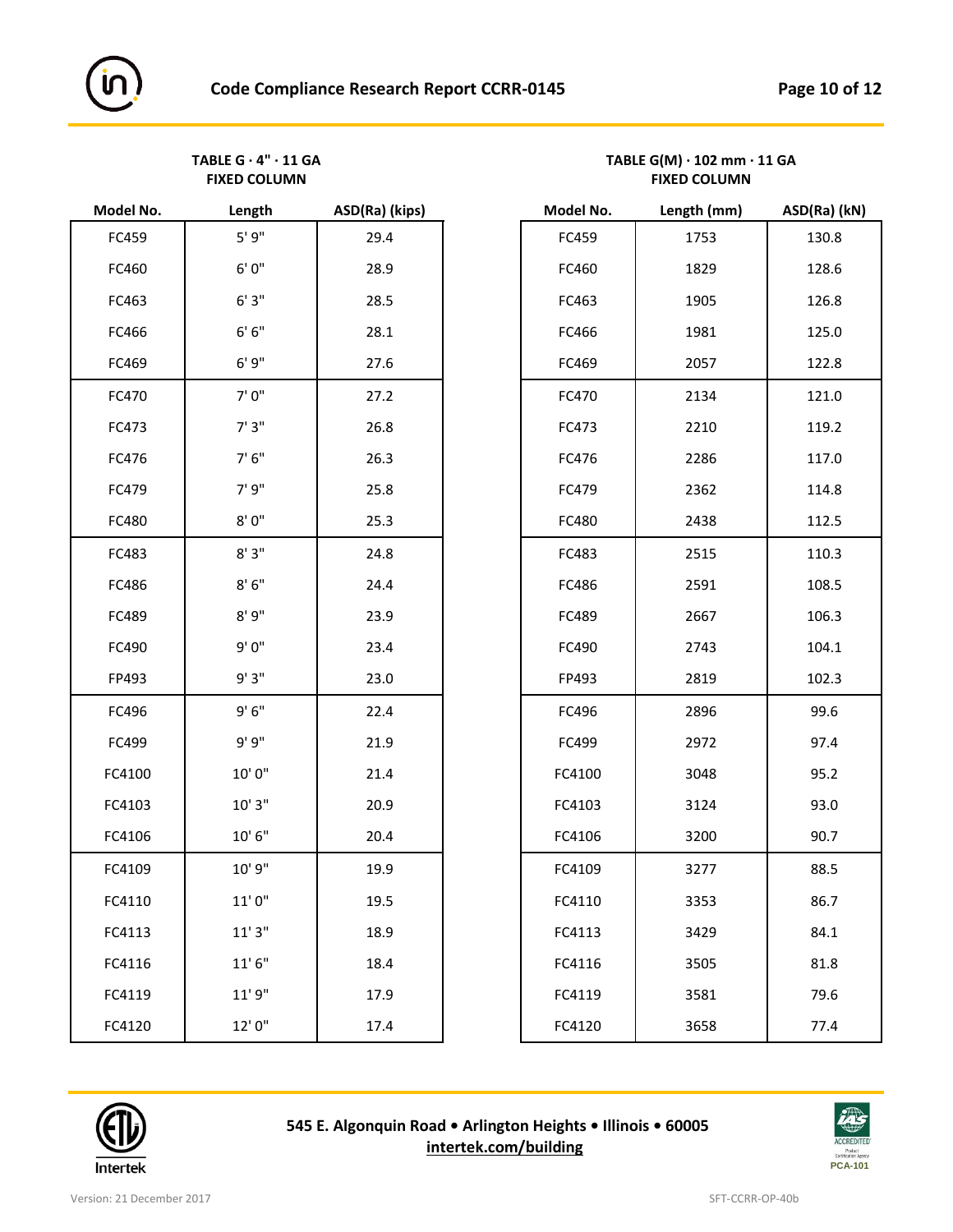**FIXED COLUMN FIXED COLUMN**

| Model No. | Length                       | ASD(Ra) (kips) | Model No. | Length (mm) | ASD(Ra) |
|-----------|------------------------------|----------------|-----------|-------------|---------|
| FC459     | 5'9''                        | 29.4           | FC459     | 1753        | 130.8   |
| FC460     | 6'0''                        | 28.9           | FC460     | 1829        | 128.6   |
| FC463     | 6'3''                        | 28.5           | FC463     | 1905        | 126.8   |
| FC466     | $6' 6''$                     | 28.1           | FC466     | 1981        | 125.0   |
| FC469     | 6'9''                        | 27.6           | FC469     | 2057        | 122.8   |
| FC470     | 7'0"                         | 27.2           | FC470     | 2134        | 121.0   |
| FC473     | 7'3''                        | 26.8           | FC473     | 2210        | 119.2   |
| FC476     | 7'6''                        | 26.3           | FC476     | 2286        | 117.0   |
| FC479     | 7' 9"                        | 25.8           | FC479     | 2362        | 114.8   |
| FC480     | 8'0''                        | 25.3           | FC480     | 2438        | 112.5   |
| FC483     | 8'3''                        | 24.8           | FC483     | 2515        | 110.3   |
| FC486     | $8'$ $6''$                   | 24.4           | FC486     | 2591        | 108.5   |
| FC489     | 8'9''                        | 23.9           | FC489     | 2667        | 106.3   |
| FC490     | 9'0"                         | 23.4           | FC490     | 2743        | 104.1   |
| FP493     | 9'3"                         | 23.0           | FP493     | 2819        | 102.3   |
| FC496     | 9'6''                        | 22.4           | FC496     | 2896        | 99.6    |
| FC499     | 9'9"                         | 21.9           | FC499     | 2972        | 97.4    |
| FC4100    | 10'0"                        | 21.4           | FC4100    | 3048        | 95.2    |
| FC4103    | $10^\circ\,3^{\prime\prime}$ | 20.9           | FC4103    | 3124        | 93.0    |
| FC4106    | $10'$ $6''$                  | 20.4           | FC4106    | 3200        | 90.7    |
| FC4109    | 10' 9"                       | 19.9           | FC4109    | 3277        | 88.5    |
| FC4110    | 11'0''                       | 19.5           | FC4110    | 3353        | 86.7    |
| FC4113    | 11'3''                       | 18.9           | FC4113    | 3429        | 84.1    |
| FC4116    | 11'6''                       | 18.4           | FC4116    | 3505        | 81.8    |
| FC4119    | 11'9''                       | 17.9           | FC4119    | 3581        | 79.6    |
| FC4120    | 12'0"                        | 17.4           | FC4120    | 3658        | 77.4    |
|           |                              |                |           |             |         |

| TABLE $G \cdot 4" \cdot 11 G A$ | TABLE $G(M) \cdot 102$ mm $\cdot 11$ GA |
|---------------------------------|-----------------------------------------|
| <b>FIXED COLUMN</b>             | <b>FIXED COLUMN</b>                     |

| Model No. | Length      | ASD(Ra) (kips) | Model No. | Length (mm) | ASD(Ra) (kN) |
|-----------|-------------|----------------|-----------|-------------|--------------|
| FC459     | 5'9''       | 29.4           | FC459     | 1753        | 130.8        |
| FC460     | $6'0''$     | 28.9           | FC460     | 1829        | 128.6        |
| FC463     | 6'3''       | 28.5           | FC463     | 1905        | 126.8        |
| FC466     | 6' 6''      | 28.1           | FC466     | 1981        | 125.0        |
| FC469     | 6'9''       | 27.6           | FC469     | 2057        | 122.8        |
| FC470     | 7'0''       | 27.2           | FC470     | 2134        | 121.0        |
| FC473     | 7'3''       | 26.8           | FC473     | 2210        | 119.2        |
| FC476     | 7' 6''      | 26.3           | FC476     | 2286        | 117.0        |
| FC479     | 7'9''       | 25.8           | FC479     | 2362        | 114.8        |
| FC480     | 8'0''       | 25.3           | FC480     | 2438        | 112.5        |
| FC483     | 8'3''       | 24.8           | FC483     | 2515        | 110.3        |
| FC486     | 8'6''       | 24.4           | FC486     | 2591        | 108.5        |
| FC489     | 8'9''       | 23.9           | FC489     | 2667        | 106.3        |
| FC490     | 9'0''       | 23.4           | FC490     | 2743        | 104.1        |
| FP493     | 9'3"        | 23.0           | FP493     | 2819        | 102.3        |
| FC496     | 9'6''       | 22.4           | FC496     | 2896        | 99.6         |
| FC499     | 9' 9''      | 21.9           | FC499     | 2972        | 97.4         |
| FC4100    | 10'0"       | 21.4           | FC4100    | 3048        | 95.2         |
| FC4103    | 10'3''      | 20.9           | FC4103    | 3124        | 93.0         |
| FC4106    | 10'6''      | 20.4           | FC4106    | 3200        | 90.7         |
| FC4109    | 10' 9"      | 19.9           | FC4109    | 3277        | 88.5         |
| FC4110    | $11'$ $0''$ | 19.5           | FC4110    | 3353        | 86.7         |
| FC4113    | 11'3''      | 18.9           | FC4113    | 3429        | 84.1         |
| FC4116    | 11'6''      | 18.4           | FC4116    | 3505        | 81.8         |
| FC4119    | 11'9''      | 17.9           | FC4119    | 3581        | 79.6         |
| FC4120    | 12'0"       | 17.4           | FC4120    | 3658        | 77.4         |



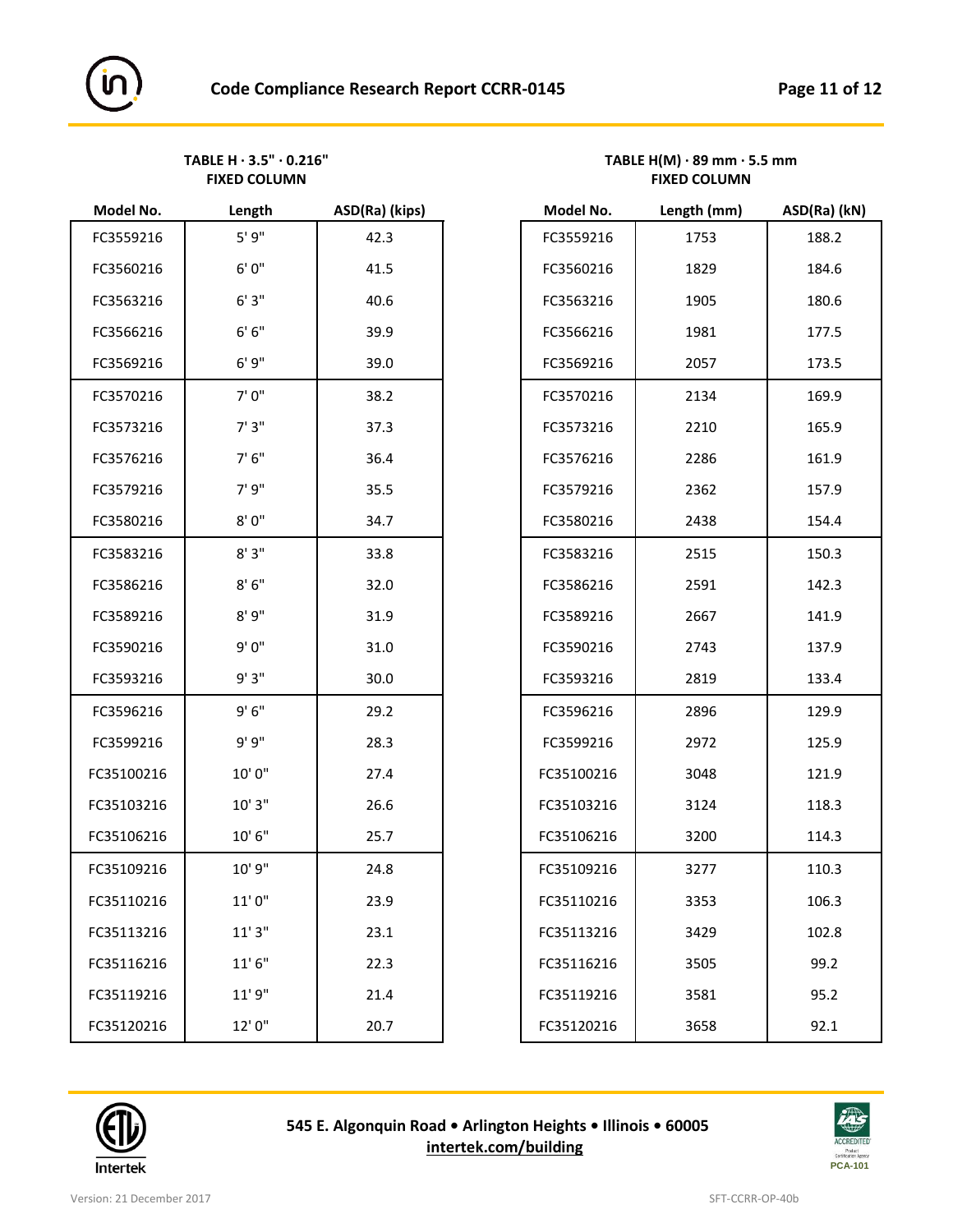| Model No.  | Length      | ASD(Ra) (Kips) | Model No.  | Length (mm) | ASD(Ra) ( |
|------------|-------------|----------------|------------|-------------|-----------|
| FC3559216  | 5'9''       | 42.3           | FC3559216  | 1753        | 188.2     |
| FC3560216  | 6'0''       | 41.5           | FC3560216  | 1829        | 184.6     |
| FC3563216  | 6'3''       | 40.6           | FC3563216  | 1905        | 180.6     |
| FC3566216  | 6' 6''      | 39.9           | FC3566216  | 1981        | 177.5     |
| FC3569216  | 6'9''       | 39.0           | FC3569216  | 2057        | 173.5     |
| FC3570216  | 7'0"        | 38.2           | FC3570216  | 2134        | 169.9     |
| FC3573216  | 7'3''       | 37.3           | FC3573216  | 2210        | 165.9     |
| FC3576216  | 7'6''       | 36.4           | FC3576216  | 2286        | 161.9     |
| FC3579216  | 7' 9"       | 35.5           | FC3579216  | 2362        | 157.9     |
| FC3580216  | 8'0''       | 34.7           | FC3580216  | 2438        | 154.4     |
| FC3583216  | 8'3''       | 33.8           | FC3583216  | 2515        | 150.3     |
| FC3586216  | 8'6''       | 32.0           | FC3586216  | 2591        | 142.3     |
| FC3589216  | 8'9''       | 31.9           | FC3589216  | 2667        | 141.9     |
| FC3590216  | 9'0"        | 31.0           | FC3590216  | 2743        | 137.9     |
| FC3593216  | 9'3"        | 30.0           | FC3593216  | 2819        | 133.4     |
| FC3596216  | 9'6''       | 29.2           | FC3596216  | 2896        | 129.9     |
| FC3599216  | 9'9"        | 28.3           | FC3599216  | 2972        | 125.9     |
| FC35100216 | 10'0"       | 27.4           | FC35100216 | 3048        | 121.9     |
| FC35103216 | 10'3''      | 26.6           | FC35103216 | 3124        | 118.3     |
| FC35106216 | $10'$ $6''$ | 25.7           | FC35106216 | 3200        | 114.3     |
| FC35109216 | 10' 9"      | 24.8           | FC35109216 | 3277        | 110.3     |
| FC35110216 | 11'0"       | 23.9           | FC35110216 | 3353        | 106.3     |
| FC35113216 | 11'3''      | 23.1           | FC35113216 | 3429        | 102.8     |
| FC35116216 | 11'6''      | 22.3           | FC35116216 | 3505        | 99.2      |
| FC35119216 | 11' 9"      | 21.4           | FC35119216 | 3581        | 95.2      |
| FC35120216 | 12'0"       | 20.7           | FC35120216 | 3658        | 92.1      |
|            |             |                |            |             |           |

#### TABLE H · 3.5" · 0.216"<br>
FIXED COLUMN
FIXED COLUMN
FIXED COLUMN
FIXED COLUMN **FIXED COLUMN FIXED COLUMN**

| Model No. | Length  | ASD(Ra) (kips) | Model No.  | Length (mm) | ASD(Ra) (kN) |
|-----------|---------|----------------|------------|-------------|--------------|
| FC3559216 | 5'9''   | 42.3           | FC3559216  | 1753        | 188.2        |
| FC3560216 | 6'0''   | 41.5           | FC3560216  | 1829        | 184.6        |
| FC3563216 | 6'3''   | 40.6           | FC3563216  | 1905        | 180.6        |
| FC3566216 | $6'6''$ | 39.9           | FC3566216  | 1981        | 177.5        |
| FC3569216 | 6'9''   | 39.0           | FC3569216  | 2057        | 173.5        |
| FC3570216 | 7'0"    | 38.2           | FC3570216  | 2134        | 169.9        |
| FC3573216 | 7'3''   | 37.3           | FC3573216  | 2210        | 165.9        |
| FC3576216 | 7'6''   | 36.4           | FC3576216  | 2286        | 161.9        |
| FC3579216 | 7' 9"   | 35.5           | FC3579216  | 2362        | 157.9        |
| FC3580216 | 8'0''   | 34.7           | FC3580216  | 2438        | 154.4        |
| FC3583216 | 8'3"    | 33.8           | FC3583216  | 2515        | 150.3        |
| FC3586216 | 8'6''   | 32.0           | FC3586216  | 2591        | 142.3        |
| FC3589216 | 8'9''   | 31.9           | FC3589216  | 2667        | 141.9        |
| FC3590216 | 9'0''   | 31.0           | FC3590216  | 2743        | 137.9        |
| FC3593216 | 9'3"    | 30.0           | FC3593216  | 2819        | 133.4        |
| FC3596216 | 9'6''   | 29.2           | FC3596216  | 2896        | 129.9        |
| FC3599216 | 9'9"    | 28.3           | FC3599216  | 2972        | 125.9        |
| C35100216 | 10'0"   | 27.4           | FC35100216 | 3048        | 121.9        |
| C35103216 | 10'3''  | 26.6           | FC35103216 | 3124        | 118.3        |
| C35106216 | 10'6''  | 25.7           | FC35106216 | 3200        | 114.3        |
| C35109216 | 10' 9"  | 24.8           | FC35109216 | 3277        | 110.3        |
| C35110216 | 11'0''  | 23.9           | FC35110216 | 3353        | 106.3        |
| C35113216 | 11'3''  | 23.1           | FC35113216 | 3429        | 102.8        |
| C35116216 | 11'6''  | 22.3           | FC35116216 | 3505        | 99.2         |
| C35119216 | 11'9''  | 21.4           | FC35119216 | 3581        | 95.2         |
| C35120216 | 12'0"   | 20.7           | FC35120216 | 3658        | 92.1         |